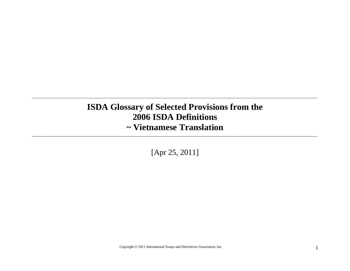# **ISDA Glossary of Selected Provisions from the 2006 ISDA Definitions ~ Vietnamese Translation**

\_\_\_\_\_\_\_\_\_\_\_\_\_\_\_\_\_\_\_\_\_\_\_\_\_\_\_\_\_\_\_\_\_\_\_\_\_\_\_\_\_\_\_\_\_\_\_\_\_\_\_\_\_\_\_\_\_\_\_\_\_\_\_\_\_\_\_\_\_\_\_\_\_\_\_\_\_\_\_\_\_\_\_\_\_\_\_\_\_\_\_\_\_\_\_\_\_\_\_\_\_\_\_\_\_\_\_\_\_\_\_\_\_\_\_\_\_\_\_\_\_\_\_\_\_\_\_\_\_

[Apr 25, 2011]

\_\_\_\_\_\_\_\_\_\_\_\_\_\_\_\_\_\_\_\_\_\_\_\_\_\_\_\_\_\_\_\_\_\_\_\_\_\_\_\_\_\_\_\_\_\_\_\_\_\_\_\_\_\_\_\_\_\_\_\_\_\_\_\_\_\_\_\_\_\_\_\_\_\_\_\_\_\_\_\_\_\_\_\_\_\_\_\_\_\_\_\_\_\_\_\_\_\_\_\_\_\_\_\_\_\_\_\_\_\_\_\_\_\_\_\_\_\_\_\_\_\_\_\_\_\_\_\_\_

Copyright © 2011 International Swaps and Derivatives Association, Inc. 1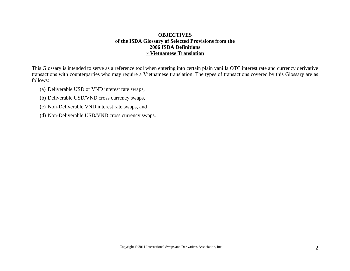## **OBJECTIVES of the ISDA Glossary of Selected Provisions from the 2006 ISDA Definitions ~ Vietnamese Translation**

This Glossary is intended to serve as a reference tool when entering into certain plain vanilla OTC interest rate and currency derivative transactions with counterparties who may require a Vietnamese translation. The types of transactions covered by this Glossary are as follows:

- (a) Deliverable USD or VND interest rate swaps,
- (b) Deliverable USD/VND cross currency swaps,
- (c) Non-Deliverable VND interest rate swaps, and
- (d) Non-Deliverable USD/VND cross currency swaps.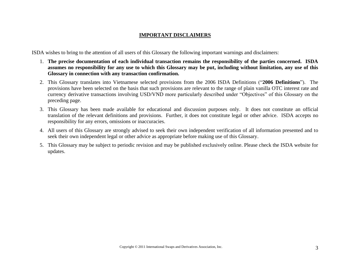## **IMPORTANT DISCLAIMERS**

ISDA wishes to bring to the attention of all users of this Glossary the following important warnings and disclaimers:

- 1. **The precise documentation of each individual transaction remains the responsibility of the parties concerned. ISDA assumes no responsibility for any use to which this Glossary may be put, including without limitation, any use of this Glossary in connection with any transaction confirmation.**
- 2. This Glossary translates into Vietnamese selected provisions from the 2006 ISDA Definitions ("**2006 Definitions**"). The provisions have been selected on the basis that such provisions are relevant to the range of plain vanilla OTC interest rate and currency derivative transactions involving USD/VND more particularly described under "Objectives" of this Glossary on the preceding page.
- 3. This Glossary has been made available for educational and discussion purposes only. It does not constitute an official translation of the relevant definitions and provisions. Further, it does not constitute legal or other advice. ISDA accepts no responsibility for any errors, omissions or inaccuracies.
- 4. All users of this Glossary are strongly advised to seek their own independent verification of all information presented and to seek their own independent legal or other advice as appropriate before making use of this Glossary.
- 5. This Glossary may be subject to periodic revision and may be published exclusively online. Please check the ISDA website for updates.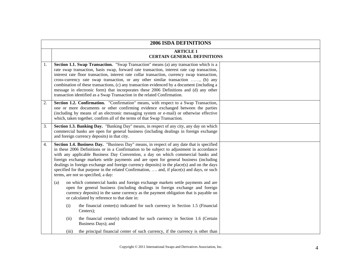|    | <b>2006 ISDA DEFINITIONS</b>                                                                                                                                                                                                                                                                                                                                                                                                                                                                                                                                                                                                                     |  |
|----|--------------------------------------------------------------------------------------------------------------------------------------------------------------------------------------------------------------------------------------------------------------------------------------------------------------------------------------------------------------------------------------------------------------------------------------------------------------------------------------------------------------------------------------------------------------------------------------------------------------------------------------------------|--|
|    | <b>ARTICLE 1</b><br><b>CERTAIN GENERAL DEFINITIONS</b>                                                                                                                                                                                                                                                                                                                                                                                                                                                                                                                                                                                           |  |
| 1. | Section 1.1. Swap Transaction. "Swap Transaction" means (a) any transaction which is a<br>rate swap transaction, basis swap, forward rate transaction, interest rate cap transaction,<br>interest rate floor transaction, interest rate collar transaction, currency swap transaction,<br>cross-currency rate swap transaction, or any other similar transaction , (b) any<br>combination of these transactions, (c) any transaction evidenced by a document (including a<br>message in electronic form) that incorporates these 2006 Definitions and (d) any other<br>transaction identified as a Swap Transaction in the related Confirmation. |  |
| 2. | Section 1.2. Confirmation. "Confirmation" means, with respect to a Swap Transaction,<br>one or more documents or other confirming evidence exchanged between the parties<br>(including by means of an electronic messaging system or e-mail) or otherwise effective<br>which, taken together, confirm all of the terms of that Swap Transaction.                                                                                                                                                                                                                                                                                                 |  |
| 3. | Section 1.3. Banking Day. "Banking Day" means, in respect of any city, any day on which<br>commercial banks are open for general business (including dealings in foreign exchange<br>and foreign currency deposits) in that city.                                                                                                                                                                                                                                                                                                                                                                                                                |  |
| 4. | Section 1.4. Business Day. "Business Day" means, in respect of any date that is specified<br>in these 2006 Definitions or in a Confirmation to be subject to adjustment in accordance<br>with any applicable Business Day Convention, a day on which commercial banks and<br>foreign exchange markets settle payments and are open for general business (including<br>dealings in foreign exchange and foreign currency deposits) in the place(s) and on the days<br>specified for that purpose in the related Confirmation,  and, if place(s) and days, or such<br>terms, are not so specified, a day:                                          |  |
|    | on which commercial banks and foreign exchange markets settle payments and are<br>(a)<br>open for general business (including dealings in foreign exchange and foreign<br>currency deposits) in the same currency as the payment obligation that is payable on<br>or calculated by reference to that date in:                                                                                                                                                                                                                                                                                                                                    |  |
|    | the financial center(s) indicated for such currency in Section 1.5 (Financial<br>(i)<br>Centers);                                                                                                                                                                                                                                                                                                                                                                                                                                                                                                                                                |  |
|    | the financial center(s) indicated for such currency in Section 1.6 (Certain<br>(ii)<br>Business Days); and                                                                                                                                                                                                                                                                                                                                                                                                                                                                                                                                       |  |
|    | the principal financial center of such currency, if the currency is other than<br>(iii)                                                                                                                                                                                                                                                                                                                                                                                                                                                                                                                                                          |  |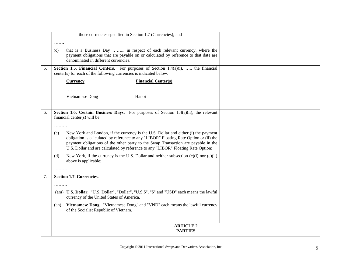|    | those currencies specified in Section 1.7 (Currencies); and                                                                                                                                                                                                                                                                                                 |  |
|----|-------------------------------------------------------------------------------------------------------------------------------------------------------------------------------------------------------------------------------------------------------------------------------------------------------------------------------------------------------------|--|
|    | .<br>that is a Business Day , in respect of each relevant currency, where the<br>(c)<br>payment obligations that are payable on or calculated by reference to that date are<br>denominated in different currencies.                                                                                                                                         |  |
| 5. | <b>Section 1.5. Financial Centers.</b> For purposes of Section $1.4(a)(i)$ ,  the financial<br>center(s) for each of the following currencies is indicated below:                                                                                                                                                                                           |  |
|    | <b>Currency</b><br><b>Financial Center(s)</b>                                                                                                                                                                                                                                                                                                               |  |
|    | .<br>Vietnamese Dong<br>Hanoi                                                                                                                                                                                                                                                                                                                               |  |
| 6. | <b>Section 1.6. Certain Business Days.</b> For purposes of Section 1.4(a)(ii), the relevant<br>financial center(s) will be:<br>.                                                                                                                                                                                                                            |  |
|    | New York and London, if the currency is the U.S. Dollar and either (i) the payment<br>(c)<br>obligation is calculated by reference to any "LIBOR" Floating Rate Option or (ii) the<br>payment obligations of the other party to the Swap Transaction are payable in the<br>U.S. Dollar and are calculated by reference to any "LIBOR" Floating Rate Option; |  |
|    | New York, if the currency is the U.S. Dollar and neither subsection $(c)(i)$ nor $(c)(ii)$<br>(d)<br>above is applicable;                                                                                                                                                                                                                                   |  |
|    |                                                                                                                                                                                                                                                                                                                                                             |  |
| 7. | <b>Section 1.7. Currencies.</b>                                                                                                                                                                                                                                                                                                                             |  |
|    | .<br>(am) U.S. Dollar. "U.S. Dollar", "Dollar", "U.S.\$", "\$" and "USD" each means the lawful<br>currency of the United States of America.                                                                                                                                                                                                                 |  |
|    | Vietnamese Dong. "Vietnamese Dong" and "VND" each means the lawful currency<br>(an)<br>of the Socialist Republic of Vietnam.                                                                                                                                                                                                                                |  |
|    | <b>ARTICLE 2</b><br><b>PARTIES</b>                                                                                                                                                                                                                                                                                                                          |  |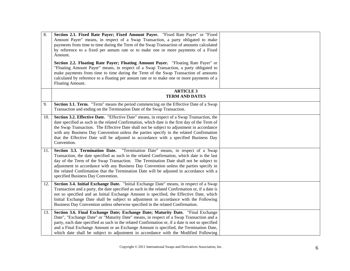| 8.  | Section 2.1. Fixed Rate Payer; Fixed Amount Payer. "Fixed Rate Payer" or "Fixed<br>Amount Payer" means, in respect of a Swap Transaction, a party obligated to make<br>payments from time to time during the Term of the Swap Transaction of amounts calculated<br>by reference to a fixed per annum rate or to make one or more payments of a Fixed<br>Amount.<br>Section 2.2. Floating Rate Payer; Floating Amount Payer. "Floating Rate Payer" or<br>"Floating Amount Payer" means, in respect of a Swap Transaction, a party obligated to<br>make payments from time to time during the Term of the Swap Transaction of amounts<br>calculated by reference to a floating per annum rate or to make one or more payments of a<br>Floating Amount. |  |
|-----|------------------------------------------------------------------------------------------------------------------------------------------------------------------------------------------------------------------------------------------------------------------------------------------------------------------------------------------------------------------------------------------------------------------------------------------------------------------------------------------------------------------------------------------------------------------------------------------------------------------------------------------------------------------------------------------------------------------------------------------------------|--|
|     | <b>ARTICLE 3</b>                                                                                                                                                                                                                                                                                                                                                                                                                                                                                                                                                                                                                                                                                                                                     |  |
|     | <b>TERM AND DATES</b>                                                                                                                                                                                                                                                                                                                                                                                                                                                                                                                                                                                                                                                                                                                                |  |
| 9.  | Section 3.1. Term. "Term" means the period commencing on the Effective Date of a Swap<br>Transaction and ending on the Termination Date of the Swap Transaction.                                                                                                                                                                                                                                                                                                                                                                                                                                                                                                                                                                                     |  |
| 10. | Section 3.2. Effective Date. "Effective Date" means, in respect of a Swap Transaction, the<br>date specified as such in the related Confirmation, which date is the first day of the Term of<br>the Swap Transaction. The Effective Date shall not be subject to adjustment in accordance<br>with any Business Day Convention unless the parties specify in the related Confirmation<br>that the Effective Date will be adjusted in accordance with a specified Business Day<br>Convention.                                                                                                                                                                                                                                                          |  |
| 11. | "Termination Date" means, in respect of a Swap<br>Section 3.3. Termination Date.<br>Transaction, the date specified as such in the related Confirmation, which date is the last<br>day of the Term of the Swap Transaction. The Termination Date shall not be subject to<br>adjustment in accordance with any Business Day Convention unless the parties specify in<br>the related Confirmation that the Termination Date will be adjusted in accordance with a<br>specified Business Day Convention.                                                                                                                                                                                                                                                |  |
| 12. | Section 3.4. Initial Exchange Date. "Initial Exchange Date" means, in respect of a Swap<br>Transaction and a party, the date specified as such in the related Confirmation or, if a date is<br>not so specified and an Initial Exchange Amount is specified, the Effective Date, which<br>Initial Exchange Date shall be subject to adjustment in accordance with the Following<br>Business Day Convention unless otherwise specified in the related Confirmation.                                                                                                                                                                                                                                                                                   |  |
| 13. | Section 3.6. Final Exchange Date; Exchange Date; Maturity Date. "Final Exchange<br>Date", "Exchange Date" or "Maturity Date" means, in respect of a Swap Transaction and a<br>party, each date specified as such in the related Confirmation or, if a date is not so specified<br>and a Final Exchange Amount or an Exchange Amount is specified, the Termination Date,<br>which date shall be subject to adjustment in accordance with the Modified Following                                                                                                                                                                                                                                                                                       |  |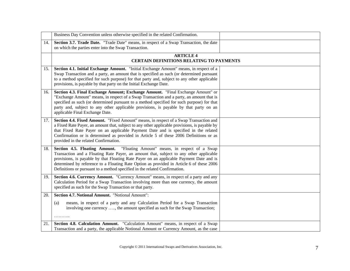|     | Business Day Convention unless otherwise specified in the related Confirmation.                                                                                                                                                                                                                                                                                                                                                            |  |
|-----|--------------------------------------------------------------------------------------------------------------------------------------------------------------------------------------------------------------------------------------------------------------------------------------------------------------------------------------------------------------------------------------------------------------------------------------------|--|
| 14. | Section 3.7. Trade Date. "Trade Date" means, in respect of a Swap Transaction, the date<br>on which the parties enter into the Swap Transaction.                                                                                                                                                                                                                                                                                           |  |
|     | <b>ARTICLE 4</b>                                                                                                                                                                                                                                                                                                                                                                                                                           |  |
|     | <b>CERTAIN DEFINITIONS RELATING TO PAYMENTS</b>                                                                                                                                                                                                                                                                                                                                                                                            |  |
| 15. | Section 4.1. Initial Exchange Amount. "Initial Exchange Amount" means, in respect of a<br>Swap Transaction and a party, an amount that is specified as such (or determined pursuant<br>to a method specified for such purpose) for that party and, subject to any other applicable<br>provisions, is payable by that party on the Initial Exchange Date.                                                                                   |  |
| 16. | Section 4.3. Final Exchange Amount; Exchange Amount. "Final Exchange Amount" or<br>"Exchange Amount" means, in respect of a Swap Transaction and a party, an amount that is<br>specified as such (or determined pursuant to a method specified for such purpose) for that<br>party and, subject to any other applicable provisions, is payable by that party on an<br>applicable Final Exchange Date.                                      |  |
| 17. | Section 4.4. Fixed Amount. "Fixed Amount" means, in respect of a Swap Transaction and<br>a Fixed Rate Payer, an amount that, subject to any other applicable provisions, is payable by<br>that Fixed Rate Payer on an applicable Payment Date and is specified in the related<br>Confirmation or is determined as provided in Article 5 of these 2006 Definitions or as<br>provided in the related Confirmation.                           |  |
| 18. | Section 4.5. Floating Amount. "Floating Amount" means, in respect of a Swap<br>Transaction and a Floating Rate Payer, an amount that, subject to any other applicable<br>provisions, is payable by that Floating Rate Payer on an applicable Payment Date and is<br>determined by reference to a Floating Rate Option as provided in Article 6 of these 2006<br>Definitions or pursuant to a method specified in the related Confirmation. |  |
| 19. | <b>Section 4.6. Currency Amount.</b> "Currency Amount" means, in respect of a party and any<br>Calculation Period for a Swap Transaction involving more than one currency, the amount<br>specified as such for the Swap Transaction or that party.                                                                                                                                                                                         |  |
| 20. | Section 4.7. Notional Amount. "Notional Amount":                                                                                                                                                                                                                                                                                                                                                                                           |  |
|     | means, in respect of a party and any Calculation Period for a Swap Transaction<br>(a)<br>involving one currency , the amount specified as such for the Swap Transaction;                                                                                                                                                                                                                                                                   |  |
|     |                                                                                                                                                                                                                                                                                                                                                                                                                                            |  |
| 21. | Section 4.8. Calculation Amount. "Calculation Amount" means, in respect of a Swap<br>Transaction and a party, the applicable Notional Amount or Currency Amount, as the case                                                                                                                                                                                                                                                               |  |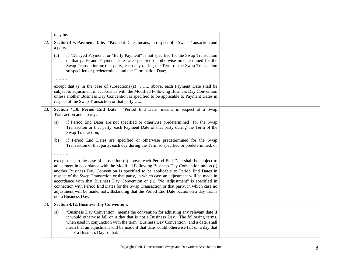|     | may be.                                                                                                                                                                                                                                                                                                                                                                                                                                                                                                                                                                                                                                                                              |  |
|-----|--------------------------------------------------------------------------------------------------------------------------------------------------------------------------------------------------------------------------------------------------------------------------------------------------------------------------------------------------------------------------------------------------------------------------------------------------------------------------------------------------------------------------------------------------------------------------------------------------------------------------------------------------------------------------------------|--|
| 22. | Section 4.9. Payment Date. "Payment Date" means, in respect of a Swap Transaction and<br>a party:<br>if "Delayed Payment" or "Early Payment" is not specified for the Swap Transaction<br>(a)<br>or that party and Payment Dates are specified or otherwise predetermined for the<br>Swap Transaction or that party, each day during the Term of the Swap Transaction<br>so specified or predetermined and the Termination Date;<br>.                                                                                                                                                                                                                                                |  |
|     | except that (i) in the case of subsections (a)  above, each Payment Date shall be<br>subject to adjustment in accordance with the Modified Following Business Day Convention<br>unless another Business Day Convention is specified to be applicable to Payment Dates in<br>respect of the Swap Transaction or that party                                                                                                                                                                                                                                                                                                                                                            |  |
| 23. | Section 4.10. Period End Date. "Period End Date" means, in respect of a Swap<br>Transaction and a party:                                                                                                                                                                                                                                                                                                                                                                                                                                                                                                                                                                             |  |
|     | if Period End Dates are not specified or otherwise predetermined for the Swap<br>(a)<br>Transaction or that party, each Payment Date of that party during the Term of the<br>Swap Transaction;                                                                                                                                                                                                                                                                                                                                                                                                                                                                                       |  |
|     | if Period End Dates are specified or otherwise predetermined for the Swap<br>(b)<br>Transaction or that party, each day during the Term so specified or predetermined; or                                                                                                                                                                                                                                                                                                                                                                                                                                                                                                            |  |
|     |                                                                                                                                                                                                                                                                                                                                                                                                                                                                                                                                                                                                                                                                                      |  |
|     | except that, in the case of subsection (b) above, each Period End Date shall be subject to<br>adjustment in accordance with the Modified Following Business Day Convention unless (i)<br>another Business Day Convention is specified to be applicable to Period End Dates in<br>respect of the Swap Transaction or that party, in which case an adjustment will be made in<br>accordance with that Business Day Convention or (ii) "No Adjustment" is specified in<br>connection with Period End Dates for the Swap Transaction or that party, in which case no<br>adjustment will be made, notwithstanding that the Period End Date occurs on a day that is<br>not a Business Day. |  |
| 24. | Section 4.12. Business Day Convention.                                                                                                                                                                                                                                                                                                                                                                                                                                                                                                                                                                                                                                               |  |
|     | "Business Day Convention" means the convention for adjusting any relevant date if<br>(a)<br>it would otherwise fall on a day that is not a Business Day. The following terms,<br>when used in conjunction with the term "Business Day Convention" and a date, shall<br>mean that an adjustment will be made if that date would otherwise fall on a day that<br>is not a Business Day so that:                                                                                                                                                                                                                                                                                        |  |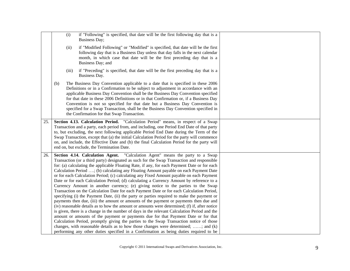|     |     | (i)   | if "Following" is specified, that date will be the first following day that is a<br>Business Day;                                                                                                                                                                                                                                                                                                                                                                                                                                                                                                                                                                                                                                                                                                                                                                                                                                                                                                                                                                                                                                                                                                                                                                                                                                                                                                                                                                                                          |  |
|-----|-----|-------|------------------------------------------------------------------------------------------------------------------------------------------------------------------------------------------------------------------------------------------------------------------------------------------------------------------------------------------------------------------------------------------------------------------------------------------------------------------------------------------------------------------------------------------------------------------------------------------------------------------------------------------------------------------------------------------------------------------------------------------------------------------------------------------------------------------------------------------------------------------------------------------------------------------------------------------------------------------------------------------------------------------------------------------------------------------------------------------------------------------------------------------------------------------------------------------------------------------------------------------------------------------------------------------------------------------------------------------------------------------------------------------------------------------------------------------------------------------------------------------------------------|--|
|     |     | (ii)  | if "Modified Following" or "Modified" is specified, that date will be the first<br>following day that is a Business Day unless that day falls in the next calendar<br>month, in which case that date will be the first preceding day that is a<br>Business Day; and                                                                                                                                                                                                                                                                                                                                                                                                                                                                                                                                                                                                                                                                                                                                                                                                                                                                                                                                                                                                                                                                                                                                                                                                                                        |  |
|     |     | (iii) | if "Preceding" is specified, that date will be the first preceding day that is a<br>Business Day.                                                                                                                                                                                                                                                                                                                                                                                                                                                                                                                                                                                                                                                                                                                                                                                                                                                                                                                                                                                                                                                                                                                                                                                                                                                                                                                                                                                                          |  |
|     | (b) |       | The Business Day Convention applicable to a date that is specified in these 2006<br>Definitions or in a Confirmation to be subject to adjustment in accordance with an<br>applicable Business Day Convention shall be the Business Day Convention specified<br>for that date in these 2006 Definitions or in that Confirmation or, if a Business Day<br>Convention is not so specified for that date but a Business Day Convention is<br>specified for a Swap Transaction, shall be the Business Day Convention specified in<br>the Confirmation for that Swap Transaction.                                                                                                                                                                                                                                                                                                                                                                                                                                                                                                                                                                                                                                                                                                                                                                                                                                                                                                                                |  |
| 25. |     |       | Section 4.13. Calculation Period. "Calculation Period" means, in respect of a Swap<br>Transaction and a party, each period from, and including, one Period End Date of that party<br>to, but excluding, the next following applicable Period End Date during the Term of the<br>Swap Transaction, except that (a) the initial Calculation Period for the party will commence<br>on, and include, the Effective Date and (b) the final Calculation Period for the party will<br>end on, but exclude, the Termination Date.                                                                                                                                                                                                                                                                                                                                                                                                                                                                                                                                                                                                                                                                                                                                                                                                                                                                                                                                                                                  |  |
| 26. |     |       | Section 4.14. Calculation Agent. "Calculation Agent" means the party to a Swap<br>Transaction (or a third party) designated as such for the Swap Transaction and responsible<br>for: (a) calculating the applicable Floating Rate, if any, for each Payment Date or for each<br>Calculation Period ; (b) calculating any Floating Amount payable on each Payment Date<br>or for each Calculation Period; (c) calculating any Fixed Amount payable on each Payment<br>Date or for each Calculation Period; (d) calculating a Currency Amount by reference to a<br>Currency Amount in another currency; (e) giving notice to the parties to the Swap<br>Transaction on the Calculation Date for each Payment Date or for each Calculation Period,<br>specifying (i) the Payment Date, (ii) the party or parties required to make the payment or<br>payments then due, (iii) the amount or amounts of the payment or payments then due and<br>(iv) reasonable details as to how the amount or amounts were determined; (f) if, after notice<br>is given, there is a change in the number of days in the relevant Calculation Period and the<br>amount or amounts of the payment or payments due for that Payment Date or for that<br>Calculation Period, promptly giving the parties to the Swap Transaction notice of those<br>changes, with reasonable details as to how those changes were determined; ; and (k)<br>performing any other duties specified in a Confirmation as being duties required to be |  |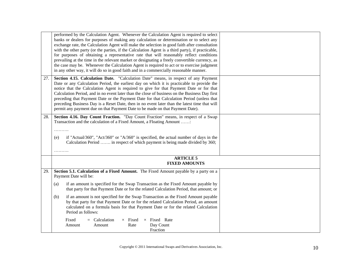|     | performed by the Calculation Agent. Whenever the Calculation Agent is required to select<br>banks or dealers for purposes of making any calculation or determination or to select any<br>exchange rate, the Calculation Agent will make the selection in good faith after consultation<br>with the other party (or the parties, if the Calculation Agent is a third party), if practicable,<br>for purposes of obtaining a representative rate that will reasonably reflect conditions<br>prevailing at the time in the relevant market or designating a freely convertible currency, as                                                                     |                      |
|-----|--------------------------------------------------------------------------------------------------------------------------------------------------------------------------------------------------------------------------------------------------------------------------------------------------------------------------------------------------------------------------------------------------------------------------------------------------------------------------------------------------------------------------------------------------------------------------------------------------------------------------------------------------------------|----------------------|
|     | the case may be. Whenever the Calculation Agent is required to act or to exercise judgment<br>in any other way, it will do so in good faith and in a commercially reasonable manner.                                                                                                                                                                                                                                                                                                                                                                                                                                                                         |                      |
| 27. | Section 4.15. Calculation Date. "Calculation Date" means, in respect of any Payment<br>Date or any Calculation Period, the earliest day on which it is practicable to provide the<br>notice that the Calculation Agent is required to give for that Payment Date or for that<br>Calculation Period, and in no event later than the close of business on the Business Day first<br>preceding that Payment Date or the Payment Date for that Calculation Period (unless that<br>preceding Business Day is a Reset Date, then in no event later than the latest time that will<br>permit any payment due on that Payment Date to be made on that Payment Date). |                      |
| 28. | Section 4.16. Day Count Fraction. "Day Count Fraction" means, in respect of a Swap<br>Transaction and the calculation of a Fixed Amount, a Floating Amount :                                                                                                                                                                                                                                                                                                                                                                                                                                                                                                 |                      |
|     | .                                                                                                                                                                                                                                                                                                                                                                                                                                                                                                                                                                                                                                                            |                      |
|     | if "Actual/360", "Act/360" or "A/360" is specified, the actual number of days in the<br>(e)<br>Calculation Period  in respect of which payment is being made divided by 360;                                                                                                                                                                                                                                                                                                                                                                                                                                                                                 |                      |
|     | .                                                                                                                                                                                                                                                                                                                                                                                                                                                                                                                                                                                                                                                            |                      |
|     |                                                                                                                                                                                                                                                                                                                                                                                                                                                                                                                                                                                                                                                              | <b>ARTICLE 5</b>     |
|     |                                                                                                                                                                                                                                                                                                                                                                                                                                                                                                                                                                                                                                                              | <b>FIXED AMOUNTS</b> |
| 29. | Section 5.1. Calculation of a Fixed Amount. The Fixed Amount payable by a party on a<br>Payment Date will be:                                                                                                                                                                                                                                                                                                                                                                                                                                                                                                                                                |                      |
|     | if an amount is specified for the Swap Transaction as the Fixed Amount payable by<br>(a)<br>that party for that Payment Date or for the related Calculation Period, that amount; or                                                                                                                                                                                                                                                                                                                                                                                                                                                                          |                      |
|     | (b)<br>if an amount is not specified for the Swap Transaction as the Fixed Amount payable<br>by that party for that Payment Date or for the related Calculation Period, an amount<br>calculated on a formula basis for that Payment Date or for the related Calculation<br>Period as follows:                                                                                                                                                                                                                                                                                                                                                                |                      |
|     | Fixed<br>$\times$ Fixed<br>$\times$ Fixed Rate<br>$=$ Calculation<br>Day Count<br>Rate<br>Amount<br>Amount<br>Fraction                                                                                                                                                                                                                                                                                                                                                                                                                                                                                                                                       |                      |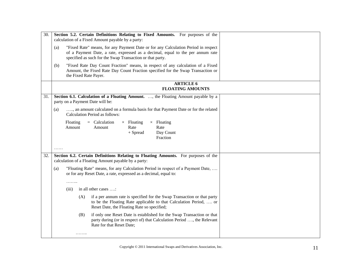| 30. |     |                    |     | Section 5.2. Certain Definitions Relating to Fixed Amounts. For purposes of the<br>calculation of a Fixed Amount payable by a party:                                                                                             |
|-----|-----|--------------------|-----|----------------------------------------------------------------------------------------------------------------------------------------------------------------------------------------------------------------------------------|
|     | (a) |                    |     | "Fixed Rate" means, for any Payment Date or for any Calculation Period in respect<br>of a Payment Date, a rate, expressed as a decimal, equal to the per annum rate<br>specified as such for the Swap Transaction or that party. |
|     | (b) |                    |     | "Fixed Rate Day Count Fraction" means, in respect of any calculation of a Fixed<br>Amount, the Fixed Rate Day Count Fraction specified for the Swap Transaction or<br>the Fixed Rate Payer.                                      |
|     |     |                    |     | <b>ARTICLE 6</b><br><b>FLOATING AMOUNTS</b>                                                                                                                                                                                      |
| 31. |     |                    |     | Section 6.1. Calculation of a Floating Amount. , the Floating Amount payable by a<br>party on a Payment Date will be:                                                                                                            |
|     | (a) |                    |     | , an amount calculated on a formula basis for that Payment Date or for the related<br>Calculation Period as follows:                                                                                                             |
|     |     | Floating<br>Amount |     | $\times$ Floating<br>$=$ Calculation<br>$\times$ Floating<br>Rate<br>Rate<br>Amount<br>Day Count<br>$+$ Spread<br>Fraction                                                                                                       |
|     | .   |                    |     |                                                                                                                                                                                                                                  |
| 32. |     |                    |     | Section 6.2. Certain Definitions Relating to Floating Amounts. For purposes of the<br>calculation of a Floating Amount payable by a party:                                                                                       |
|     | (a) |                    |     | "Floating Rate" means, for any Calculation Period in respect of a Payment Date,<br>or for any Reset Date, a rate, expressed as a decimal, equal to:                                                                              |
|     |     | .                  |     |                                                                                                                                                                                                                                  |
|     |     | (iii)              |     | in all other cases :                                                                                                                                                                                                             |
|     |     |                    | (A) | if a per annum rate is specified for the Swap Transaction or that party<br>to be the Floating Rate applicable to that Calculation Period,  or<br>Reset Date, the Floating Rate so specified;                                     |
|     |     |                    | (B) | if only one Reset Date is established for the Swap Transaction or that<br>party during (or in respect of) that Calculation Period , the Relevant<br>Rate for that Reset Date;                                                    |
|     |     |                    | .   |                                                                                                                                                                                                                                  |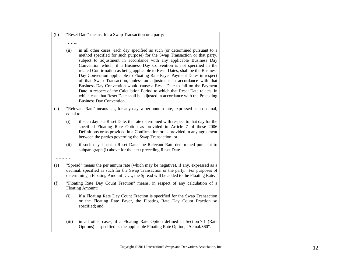| (b)<br>"Reset Date" means, for a Swap Transaction or a party: |  |
|---------------------------------------------------------------|--|
|---------------------------------------------------------------|--|

……..

- (ii) in all other cases, each day specified as such (or determined pursuant to a method specified for such purpose) for the Swap Transaction or that party, subject to adjustment in accordance with any applicable Business Day Convention which, if a Business Day Convention is not specified in the related Confirmation as being applicable to Reset Dates, shall be the Business Day Convention applicable to Floating Rate Payer Payment Dates in respect of that Swap Transaction, unless an adjustment in accordance with that Business Day Convention would cause a Reset Date to fall on the Payment Date in respect of the Calculation Period to which that Reset Date relates, in which case that Reset Date shall be adjusted in accordance with the Preceding Business Day Convention.
- (c) "Relevant Rate" means …., for any day, a per annum rate, expressed as a decimal, equal to:
	- (i) if such day is a Reset Date, the rate determined with respect to that day for the specified Floating Rate Option as provided in Article 7 of these 2006 Definitions or as provided in a Confirmation or as provided in any agreement between the parties governing the Swap Transaction; or
	- (ii) if such day is not a Reset Date, the Relevant Rate determined pursuant to subparagraph (i) above for the next preceding Reset Date.

#### …………

…….

- (e) "Spread" means the per annum rate (which may be negative), if any, expressed as a decimal, specified as such for the Swap Transaction or the party. For purposes of determining a Floating Amount ……, the Spread will be added to the Floating Rate.
- (f) "Floating Rate Day Count Fraction" means, in respect of any calculation of a Floating Amount:
	- (i) if a Floating Rate Day Count Fraction is specified for the Swap Transaction or the Floating Rate Payer, the Floating Rate Day Count Fraction so specified; and
	- (iii) in all other cases, if a Floating Rate Option defined in Section 7.1 (Rate Options) is specified as the applicable Floating Rate Option, "Actual/360".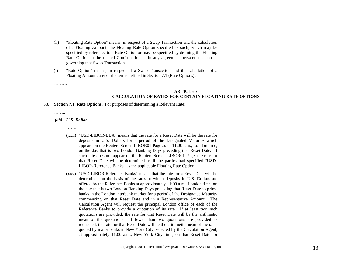|     | .   |                     |                                                                                                                                                                                                                                                                                                                                                                                                                                                                                                                                                                                                                                                                                                                                                                                                                                                                                                                                                                                                                                              |  |
|-----|-----|---------------------|----------------------------------------------------------------------------------------------------------------------------------------------------------------------------------------------------------------------------------------------------------------------------------------------------------------------------------------------------------------------------------------------------------------------------------------------------------------------------------------------------------------------------------------------------------------------------------------------------------------------------------------------------------------------------------------------------------------------------------------------------------------------------------------------------------------------------------------------------------------------------------------------------------------------------------------------------------------------------------------------------------------------------------------------|--|
|     | (h) |                     | "Floating Rate Option" means, in respect of a Swap Transaction and the calculation<br>of a Floating Amount, the Floating Rate Option specified as such, which may be<br>specified by reference to a Rate Option or may be specified by defining the Floating<br>Rate Option in the related Confirmation or in any agreement between the parties<br>governing that Swap Transaction.                                                                                                                                                                                                                                                                                                                                                                                                                                                                                                                                                                                                                                                          |  |
|     | (i) |                     | "Rate Option" means, in respect of a Swap Transaction and the calculation of a<br>Floating Amount, any of the terms defined in Section 7.1 (Rate Options).                                                                                                                                                                                                                                                                                                                                                                                                                                                                                                                                                                                                                                                                                                                                                                                                                                                                                   |  |
|     | .   |                     |                                                                                                                                                                                                                                                                                                                                                                                                                                                                                                                                                                                                                                                                                                                                                                                                                                                                                                                                                                                                                                              |  |
|     |     |                     | <b>ARTICLE 7</b>                                                                                                                                                                                                                                                                                                                                                                                                                                                                                                                                                                                                                                                                                                                                                                                                                                                                                                                                                                                                                             |  |
|     |     |                     | CALCULATION OF RATES FOR CERTAIN FLOATING RATE OPTIONS                                                                                                                                                                                                                                                                                                                                                                                                                                                                                                                                                                                                                                                                                                                                                                                                                                                                                                                                                                                       |  |
| 33. |     |                     | Section 7.1. Rate Options. For purposes of determining a Relevant Rate:                                                                                                                                                                                                                                                                                                                                                                                                                                                                                                                                                                                                                                                                                                                                                                                                                                                                                                                                                                      |  |
|     | .   |                     |                                                                                                                                                                                                                                                                                                                                                                                                                                                                                                                                                                                                                                                                                                                                                                                                                                                                                                                                                                                                                                              |  |
|     |     | $(ab)$ U.S. Dollar. |                                                                                                                                                                                                                                                                                                                                                                                                                                                                                                                                                                                                                                                                                                                                                                                                                                                                                                                                                                                                                                              |  |
|     |     |                     |                                                                                                                                                                                                                                                                                                                                                                                                                                                                                                                                                                                                                                                                                                                                                                                                                                                                                                                                                                                                                                              |  |
|     |     | .                   |                                                                                                                                                                                                                                                                                                                                                                                                                                                                                                                                                                                                                                                                                                                                                                                                                                                                                                                                                                                                                                              |  |
|     |     |                     | (xxii) "USD-LIBOR-BBA" means that the rate for a Reset Date will be the rate for<br>deposits in U.S. Dollars for a period of the Designated Maturity which<br>appears on the Reuters Screen LIBOR01 Page as of 11:00 a.m., London time,<br>on the day that is two London Banking Days preceding that Reset Date. If<br>such rate does not appear on the Reuters Screen LIBOR01 Page, the rate for<br>that Reset Date will be determined as if the parties had specified "USD-<br>LIBOR-Reference Banks" as the applicable Floating Rate Option.                                                                                                                                                                                                                                                                                                                                                                                                                                                                                              |  |
|     |     |                     | (xxv) "USD-LIBOR-Reference Banks" means that the rate for a Reset Date will be<br>determined on the basis of the rates at which deposits in U.S. Dollars are<br>offered by the Reference Banks at approximately 11:00 a.m., London time, on<br>the day that is two London Banking Days preceding that Reset Date to prime<br>banks in the London interbank market for a period of the Designated Maturity<br>commencing on that Reset Date and in a Representative Amount. The<br>Calculation Agent will request the principal London office of each of the<br>Reference Banks to provide a quotation of its rate. If at least two such<br>quotations are provided, the rate for that Reset Date will be the arithmetic<br>mean of the quotations. If fewer than two quotations are provided as<br>requested, the rate for that Reset Date will be the arithmetic mean of the rates<br>quoted by major banks in New York City, selected by the Calculation Agent,<br>at approximately 11:00 a.m., New York City time, on that Reset Date for |  |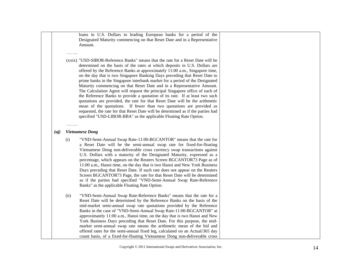loans in U.S. Dollars to leading European banks for a period of the Designated Maturity commencing on that Reset Date and in a Representative Amount.

………

(xxix) "USD -SIBOR -Reference Banks" means that the rate for a Reset Date will be determined on the basis of the rates at which deposits in U.S. Dollars are offered by the Reference Banks at approximately 11:00 a.m., Singapore time, on the day that is two Singapore Banking Days preceding that Reset Date to prime banks in the Singapore interbank market for a period of the Designated Maturity commencing on that Reset Date and in a Representative Amount. The Calculation Agent will request the principal Singapore office of each of the Reference Banks to provide a quotation of its rate. If at least two such quotations are provided, the rate for that Reset Date will be the arithmetic mean of the quotations. If fewer than two quotations are provided as requested, the rate for that Reset Date will be determined as if the parties had specified "USD-LIBOR-BBA" as the applicable Floating Rate Option.

### ……… *(aj) Vietnamese Dong*

- (i) "VND -Semi -Annual Swap Rate -11:00 -BGCANTOR" means that the rate for a Reset Date will be the semi -annual swap rate for fixed -for -floating Vietnamese Dong non -deliverable cross currency swap transactions against U.S. Dollars with a maturity of the Designated Maturity, expressed as a percentage, which appears on the Reuters Screen BGCANTOR73 Page as of 11:00 a.m., Hanoi time, on the day that is two Hanoi and New York Business Days preceding that Reset Date. If such rate does not appear on the Reuters Screen BGCANTOR73 Page, the rate for that Reset Date will be determined as if the parties had specified "VND -Semi -Annual Swap Rate -Reference Banks" as the applicable Floating Rate Option.
- (ii) "VND -Semi -Annual Swap Rate -Reference Banks" means that the rate for a Reset Date will be determined by the Reference Banks on the basis of the mid -market semi -annual swap rate quotations provided by the Reference Banks in the case of "VND -Semi -Annual Swap Rate -11:00 -BGCANTOR" at approximately 11:00 a.m., Hanoi time, on the day that is two Hanoi and New York Business Days preceding that Reset Date. For this purpose, the mid market semi -annual swap rate means the arithmetic mean of the bid and offered rates for the semi -annual fixed leg, calculated on an Actual/365 day count basis, of a fixed -for -floating Vietnamese Dong non -deliverable cross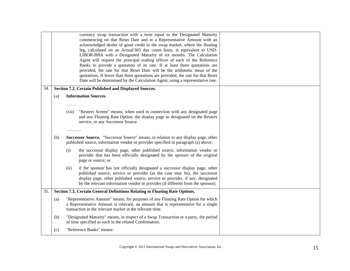|     | currency swap transaction with a term equal to the Designated Maturity<br>commencing on that Reset Date and in a Representative Amount with an<br>acknowledged dealer of good credit in the swap market, where the floating<br>leg, calculated on an Actual/365 day count basis, is equivalent to USD-<br>LIBOR-BBA with a Designated Maturity of six months. The Calculation<br>Agent will request the principal trading offices of each of the Reference<br>Banks to provide a quotation of its rate. If at least three quotations are<br>provided, the rate for that Reset Date will be the arithmetic mean of the<br>quotations. If fewer than three quotations are provided, the rate for that Reset<br>Date will be determined by the Calculation Agent, using a representative rate.<br>Section 7.2. Certain Published and Displayed Sources. |       |                                                                                                                                                                                                                                                                                                                               |  |
|-----|------------------------------------------------------------------------------------------------------------------------------------------------------------------------------------------------------------------------------------------------------------------------------------------------------------------------------------------------------------------------------------------------------------------------------------------------------------------------------------------------------------------------------------------------------------------------------------------------------------------------------------------------------------------------------------------------------------------------------------------------------------------------------------------------------------------------------------------------------|-------|-------------------------------------------------------------------------------------------------------------------------------------------------------------------------------------------------------------------------------------------------------------------------------------------------------------------------------|--|
| 34. |                                                                                                                                                                                                                                                                                                                                                                                                                                                                                                                                                                                                                                                                                                                                                                                                                                                      |       |                                                                                                                                                                                                                                                                                                                               |  |
|     | (a)                                                                                                                                                                                                                                                                                                                                                                                                                                                                                                                                                                                                                                                                                                                                                                                                                                                  |       | <b>Information Sources.</b>                                                                                                                                                                                                                                                                                                   |  |
|     |                                                                                                                                                                                                                                                                                                                                                                                                                                                                                                                                                                                                                                                                                                                                                                                                                                                      | .     |                                                                                                                                                                                                                                                                                                                               |  |
|     |                                                                                                                                                                                                                                                                                                                                                                                                                                                                                                                                                                                                                                                                                                                                                                                                                                                      | (xii) | "Reuters Screen" means, when used in connection with any designated page<br>and any Floating Rate Option, the display page so designated on the Reuters<br>service, or any Successor Source.                                                                                                                                  |  |
|     |                                                                                                                                                                                                                                                                                                                                                                                                                                                                                                                                                                                                                                                                                                                                                                                                                                                      | .     |                                                                                                                                                                                                                                                                                                                               |  |
|     | (b)                                                                                                                                                                                                                                                                                                                                                                                                                                                                                                                                                                                                                                                                                                                                                                                                                                                  |       | Successor Source. "Successor Source" means, in relation to any display page, other<br>published source, information vendor or provider specified in paragraph (a) above:                                                                                                                                                      |  |
|     |                                                                                                                                                                                                                                                                                                                                                                                                                                                                                                                                                                                                                                                                                                                                                                                                                                                      | (i)   | the successor display page, other published source, information vendor or<br>provider that has been officially designated by the sponsor of the original<br>page or source; or                                                                                                                                                |  |
|     |                                                                                                                                                                                                                                                                                                                                                                                                                                                                                                                                                                                                                                                                                                                                                                                                                                                      | (ii)  | if the sponsor has not officially designated a successor display page, other<br>published source, service or provider (as the case may be), the successor<br>display page, other published source, service or provider, if any, designated<br>by the relevant information vendor or provider (if different from the sponsor). |  |
| 35. |                                                                                                                                                                                                                                                                                                                                                                                                                                                                                                                                                                                                                                                                                                                                                                                                                                                      |       | Section 7.3. Certain General Definitions Relating to Floating Rate Options.                                                                                                                                                                                                                                                   |  |
|     | (a)                                                                                                                                                                                                                                                                                                                                                                                                                                                                                                                                                                                                                                                                                                                                                                                                                                                  |       | "Representative Amount" means, for purposes of any Floating Rate Option for which<br>a Representative Amount is relevant, an amount that is representative for a single<br>transaction in the relevant market at the relevant time.                                                                                           |  |
|     | (b)                                                                                                                                                                                                                                                                                                                                                                                                                                                                                                                                                                                                                                                                                                                                                                                                                                                  |       | "Designated Maturity" means, in respect of a Swap Transaction or a party, the period<br>of time specified as such in the related Confirmation.                                                                                                                                                                                |  |
|     | (c)                                                                                                                                                                                                                                                                                                                                                                                                                                                                                                                                                                                                                                                                                                                                                                                                                                                  |       | "Reference Banks" means:                                                                                                                                                                                                                                                                                                      |  |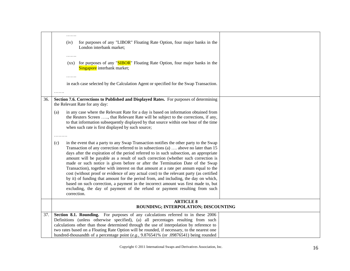|     | .<br>for purposes of any "LIBOR" Floating Rate Option, four major banks in the<br>(iv)<br>London interbank market;                                                                                                                                                                                                                                                                                                                                                                                                                                                                                                                                                                                                                                                                                                                                                                                                   |  |
|-----|----------------------------------------------------------------------------------------------------------------------------------------------------------------------------------------------------------------------------------------------------------------------------------------------------------------------------------------------------------------------------------------------------------------------------------------------------------------------------------------------------------------------------------------------------------------------------------------------------------------------------------------------------------------------------------------------------------------------------------------------------------------------------------------------------------------------------------------------------------------------------------------------------------------------|--|
|     | .<br>for purposes of any " <b>SIBOR</b> " Floating Rate Option, four major banks in the<br>$(\mathbf{X}\mathbf{X})$<br>Singapore interbank market;                                                                                                                                                                                                                                                                                                                                                                                                                                                                                                                                                                                                                                                                                                                                                                   |  |
|     | in each case selected by the Calculation Agent or specified for the Swap Transaction.                                                                                                                                                                                                                                                                                                                                                                                                                                                                                                                                                                                                                                                                                                                                                                                                                                |  |
| 36. | Section 7.6. Corrections to Published and Displayed Rates. For purposes of determining<br>the Relevant Rate for any day:                                                                                                                                                                                                                                                                                                                                                                                                                                                                                                                                                                                                                                                                                                                                                                                             |  |
|     | in any case where the Relevant Rate for a day is based on information obtained from<br>(a)<br>the Reuters Screen , that Relevant Rate will be subject to the corrections, if any,<br>to that information subsequently displayed by that source within one hour of the time<br>when such rate is first displayed by such source;                                                                                                                                                                                                                                                                                                                                                                                                                                                                                                                                                                                      |  |
|     |                                                                                                                                                                                                                                                                                                                                                                                                                                                                                                                                                                                                                                                                                                                                                                                                                                                                                                                      |  |
|     | in the event that a party to any Swap Transaction notifies the other party to the Swap<br>(c)<br>Transaction of any correction referred to in subsections (a)  above no later than $15$<br>days after the expiration of the period referred to in such subsection, an appropriate<br>amount will be payable as a result of such correction (whether such correction is<br>made or such notice is given before or after the Termination Date of the Swap<br>Transaction), together with interest on that amount at a rate per annum equal to the<br>cost (without proof or evidence of any actual cost) to the relevant party (as certified<br>by it) of funding that amount for the period from, and including, the day on which,<br>based on such correction, a payment in the incorrect amount was first made to, but<br>excluding, the day of payment of the refund or payment resulting from such<br>correction. |  |
|     | <b>ARTICLE 8</b><br>ROUNDING; INTERPOLATION; DISCOUNTING                                                                                                                                                                                                                                                                                                                                                                                                                                                                                                                                                                                                                                                                                                                                                                                                                                                             |  |
|     |                                                                                                                                                                                                                                                                                                                                                                                                                                                                                                                                                                                                                                                                                                                                                                                                                                                                                                                      |  |
| 37. | Section 8.1. Rounding. For purposes of any calculations referred to in these 2006<br>Definitions (unless otherwise specified), (a) all percentages resulting from such<br>calculations other than those determined through the use of interpolation by reference to<br>two rates based on a Floating Rate Option will be rounded, if necessary, to the nearest one<br>hundred-thousandth of a percentage point $(e.g., 9.876541\%$ (or .09876541) being rounded                                                                                                                                                                                                                                                                                                                                                                                                                                                      |  |